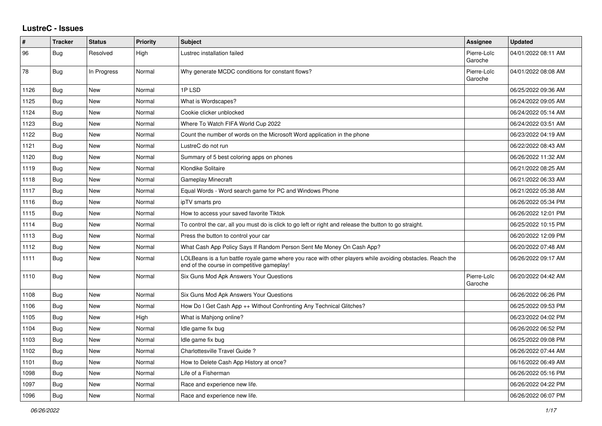## **LustreC - Issues**

| #    | <b>Tracker</b> | <b>Status</b> | <b>Priority</b> | <b>Subject</b>                                                                                                                                           | Assignee               | <b>Updated</b>      |
|------|----------------|---------------|-----------------|----------------------------------------------------------------------------------------------------------------------------------------------------------|------------------------|---------------------|
| 96   | Bug            | Resolved      | High            | Lustrec installation failed                                                                                                                              | Pierre-Loïc<br>Garoche | 04/01/2022 08:11 AM |
| 78   | Bug            | In Progress   | Normal          | Why generate MCDC conditions for constant flows?                                                                                                         | Pierre-Loïc<br>Garoche | 04/01/2022 08:08 AM |
| 1126 | Bug            | <b>New</b>    | Normal          | 1PLSD                                                                                                                                                    |                        | 06/25/2022 09:36 AM |
| 1125 | Bug            | New           | Normal          | What is Wordscapes?                                                                                                                                      |                        | 06/24/2022 09:05 AM |
| 1124 | Bug            | <b>New</b>    | Normal          | Cookie clicker unblocked                                                                                                                                 |                        | 06/24/2022 05:14 AM |
| 1123 | Bug            | <b>New</b>    | Normal          | Where To Watch FIFA World Cup 2022                                                                                                                       |                        | 06/24/2022 03:51 AM |
| 1122 | Bug            | <b>New</b>    | Normal          | Count the number of words on the Microsoft Word application in the phone                                                                                 |                        | 06/23/2022 04:19 AM |
| 1121 | Bug            | <b>New</b>    | Normal          | LustreC do not run                                                                                                                                       |                        | 06/22/2022 08:43 AM |
| 1120 | <b>Bug</b>     | <b>New</b>    | Normal          | Summary of 5 best coloring apps on phones                                                                                                                |                        | 06/26/2022 11:32 AM |
| 1119 | Bug            | <b>New</b>    | Normal          | Klondike Solitaire                                                                                                                                       |                        | 06/21/2022 08:25 AM |
| 1118 | Bug            | New           | Normal          | <b>Gameplay Minecraft</b>                                                                                                                                |                        | 06/21/2022 06:33 AM |
| 1117 | Bug            | New           | Normal          | Equal Words - Word search game for PC and Windows Phone                                                                                                  |                        | 06/21/2022 05:38 AM |
| 1116 | Bug            | <b>New</b>    | Normal          | ipTV smarts pro                                                                                                                                          |                        | 06/26/2022 05:34 PM |
| 1115 | Bug            | <b>New</b>    | Normal          | How to access your saved favorite Tiktok                                                                                                                 |                        | 06/26/2022 12:01 PM |
| 1114 | Bug            | <b>New</b>    | Normal          | To control the car, all you must do is click to go left or right and release the button to go straight.                                                  |                        | 06/25/2022 10:15 PM |
| 1113 | Bug            | New           | Normal          | Press the button to control your car                                                                                                                     |                        | 06/20/2022 12:09 PM |
| 1112 | Bug            | New           | Normal          | What Cash App Policy Says If Random Person Sent Me Money On Cash App?                                                                                    |                        | 06/20/2022 07:48 AM |
| 1111 | Bug            | New           | Normal          | LOLBeans is a fun battle royale game where you race with other players while avoiding obstacles. Reach the<br>end of the course in competitive gameplay! |                        | 06/26/2022 09:17 AM |
| 1110 | <b>Bug</b>     | <b>New</b>    | Normal          | Six Guns Mod Apk Answers Your Questions                                                                                                                  | Pierre-Loïc<br>Garoche | 06/20/2022 04:42 AM |
| 1108 | Bug            | <b>New</b>    | Normal          | Six Guns Mod Apk Answers Your Questions                                                                                                                  |                        | 06/26/2022 06:26 PM |
| 1106 | Bug            | New           | Normal          | How Do I Get Cash App ++ Without Confronting Any Technical Glitches?                                                                                     |                        | 06/25/2022 09:53 PM |
| 1105 | Bug            | <b>New</b>    | High            | What is Mahjong online?                                                                                                                                  |                        | 06/23/2022 04:02 PM |
| 1104 | Bug            | <b>New</b>    | Normal          | Idle game fix bug                                                                                                                                        |                        | 06/26/2022 06:52 PM |
| 1103 | Bug            | New           | Normal          | Idle game fix bug                                                                                                                                        |                        | 06/25/2022 09:08 PM |
| 1102 | Bug            | New           | Normal          | Charlottesville Travel Guide?                                                                                                                            |                        | 06/26/2022 07:44 AM |
| 1101 | Bug            | <b>New</b>    | Normal          | How to Delete Cash App History at once?                                                                                                                  |                        | 06/16/2022 06:49 AM |
| 1098 | Bug            | New           | Normal          | Life of a Fisherman                                                                                                                                      |                        | 06/26/2022 05:16 PM |
| 1097 | Bug            | <b>New</b>    | Normal          | Race and experience new life.                                                                                                                            |                        | 06/26/2022 04:22 PM |
| 1096 | Bug            | New           | Normal          | Race and experience new life.                                                                                                                            |                        | 06/26/2022 06:07 PM |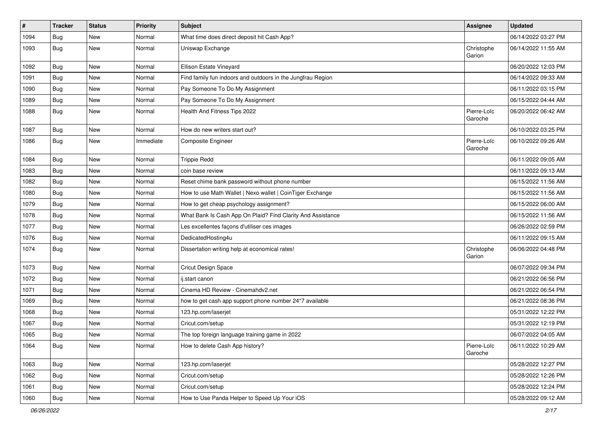| $\vert$ # | <b>Tracker</b> | <b>Status</b> | <b>Priority</b> | Subject                                                     | <b>Assignee</b>        | <b>Updated</b>      |
|-----------|----------------|---------------|-----------------|-------------------------------------------------------------|------------------------|---------------------|
| 1094      | <b>Bug</b>     | New           | Normal          | What time does direct deposit hit Cash App?                 |                        | 06/14/2022 03:27 PM |
| 1093      | Bug            | New           | Normal          | Uniswap Exchange                                            | Christophe<br>Garion   | 06/14/2022 11:55 AM |
| 1092      | <b>Bug</b>     | New           | Normal          | Ellison Estate Vineyard                                     |                        | 06/20/2022 12:03 PM |
| 1091      | Bug            | New           | Normal          | Find family fun indoors and outdoors in the Jungfrau Region |                        | 06/14/2022 09:33 AM |
| 1090      | <b>Bug</b>     | New           | Normal          | Pay Someone To Do My Assignment                             |                        | 06/11/2022 03:15 PM |
| 1089      | Bug            | New           | Normal          | Pay Someone To Do My Assignment                             |                        | 06/15/2022 04:44 AM |
| 1088      | Bug            | New           | Normal          | Health And Fitness Tips 2022                                | Pierre-Loïc<br>Garoche | 06/20/2022 06:42 AM |
| 1087      | Bug            | <b>New</b>    | Normal          | How do new writers start out?                               |                        | 06/10/2022 03:25 PM |
| 1086      | Bug            | New           | Immediate       | <b>Composite Engineer</b>                                   | Pierre-Loïc<br>Garoche | 06/10/2022 09:26 AM |
| 1084      | Bug            | New           | Normal          | <b>Trippie Redd</b>                                         |                        | 06/11/2022 09:05 AM |
| 1083      | <b>Bug</b>     | New           | Normal          | coin base review                                            |                        | 06/11/2022 09:13 AM |
| 1082      | <b>Bug</b>     | New           | Normal          | Reset chime bank password without phone number              |                        | 06/15/2022 11:56 AM |
| 1080      | Bug            | New           | Normal          | How to use Math Wallet   Nexo wallet   CoinTiger Exchange   |                        | 06/15/2022 11:56 AM |
| 1079      | <b>Bug</b>     | New           | Normal          | How to get cheap psychology assignment?                     |                        | 06/15/2022 06:00 AM |
| 1078      | <b>Bug</b>     | New           | Normal          | What Bank Is Cash App On Plaid? Find Clarity And Assistance |                        | 06/15/2022 11:56 AM |
| 1077      | Bug            | New           | Normal          | Les excellentes façons d'utiliser ces images                |                        | 06/26/2022 02:59 PM |
| 1076      | <b>Bug</b>     | New           | Normal          | DedicatedHosting4u                                          |                        | 06/11/2022 09:15 AM |
| 1074      | Bug            | New           | Normal          | Dissertation writing help at economical rates!              | Christophe<br>Garion   | 06/06/2022 04:48 PM |
| 1073      | Bug            | New           | Normal          | Cricut Design Space                                         |                        | 06/07/2022 09:34 PM |
| 1072      | Bug            | New           | Normal          | ij.start canon                                              |                        | 06/21/2022 06:56 PM |
| 1071      | <b>Bug</b>     | New           | Normal          | Cinema HD Review - Cinemahdv2.net                           |                        | 06/21/2022 06:54 PM |
| 1069      | Bug            | New           | Normal          | how to get cash app support phone number 24*7 available     |                        | 06/21/2022 08:36 PM |
| 1068      | <b>Bug</b>     | New           | Normal          | 123.hp.com/laserjet                                         |                        | 05/31/2022 12:22 PM |
| 1067      | <b>Bug</b>     | New           | Normal          | Cricut.com/setup                                            |                        | 05/31/2022 12:19 PM |
| 1065      | <b>Bug</b>     | New           | Normal          | The top foreign language training game in 2022              |                        | 06/07/2022 04:05 AM |
| 1064      | <b>Bug</b>     | New           | Normal          | How to delete Cash App history?                             | Pierre-Loïc<br>Garoche | 06/11/2022 10:29 AM |
| 1063      | Bug            | New           | Normal          | 123.hp.com/laserjet                                         |                        | 05/28/2022 12:27 PM |
| 1062      | Bug            | New           | Normal          | Cricut.com/setup                                            |                        | 05/28/2022 12:26 PM |
| 1061      | Bug            | New           | Normal          | Cricut.com/setup                                            |                        | 05/28/2022 12:24 PM |
| 1060      | Bug            | New           | Normal          | How to Use Panda Helper to Speed Up Your iOS                |                        | 05/28/2022 09:12 AM |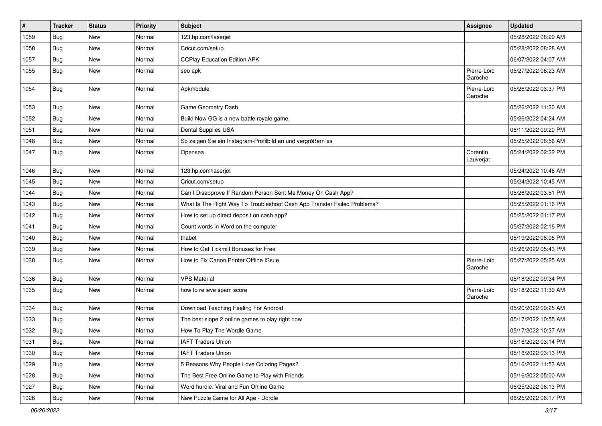| $\vert$ # | <b>Tracker</b> | <b>Status</b> | <b>Priority</b> | Subject                                                                  | <b>Assignee</b>        | <b>Updated</b>      |
|-----------|----------------|---------------|-----------------|--------------------------------------------------------------------------|------------------------|---------------------|
| 1059      | <b>Bug</b>     | New           | Normal          | 123.hp.com/laserjet                                                      |                        | 05/28/2022 08:29 AM |
| 1058      | <b>Bug</b>     | New           | Normal          | Cricut.com/setup                                                         |                        | 05/28/2022 08:28 AM |
| 1057      | Bug            | New           | Normal          | <b>CCPlay Education Edition APK</b>                                      |                        | 06/07/2022 04:07 AM |
| 1055      | Bug            | New           | Normal          | seo apk                                                                  | Pierre-Loïc<br>Garoche | 05/27/2022 06:23 AM |
| 1054      | Bug            | New           | Normal          | Apkmodule                                                                | Pierre-Loïc<br>Garoche | 05/26/2022 03:37 PM |
| 1053      | <b>Bug</b>     | <b>New</b>    | Normal          | Game Geometry Dash                                                       |                        | 05/26/2022 11:30 AM |
| 1052      | <b>Bug</b>     | New           | Normal          | Build Now GG is a new battle royale game.                                |                        | 05/26/2022 04:24 AM |
| 1051      | <b>Bug</b>     | New           | Normal          | Dental Supplies USA                                                      |                        | 06/11/2022 09:20 PM |
| 1048      | Bug            | New           | Normal          | So zeigen Sie ein Instagram-Profilbild an und vergrößern es              |                        | 05/25/2022 06:56 AM |
| 1047      | Bug            | New           | Normal          | Opensea                                                                  | Corentin<br>Lauverjat  | 05/24/2022 02:32 PM |
| 1046      | <b>Bug</b>     | New           | Normal          | 123.hp.com/laserjet                                                      |                        | 05/24/2022 10:46 AM |
| 1045      | <b>Bug</b>     | New           | Normal          | Cricut.com/setup                                                         |                        | 05/24/2022 10:45 AM |
| 1044      | Bug            | New           | Normal          | Can I Disapprove If Random Person Sent Me Money On Cash App?             |                        | 05/26/2022 03:51 PM |
| 1043      | <b>Bug</b>     | New           | Normal          | What Is The Right Way To Troubleshoot Cash App Transfer Failed Problems? |                        | 05/25/2022 01:16 PM |
| 1042      | <b>Bug</b>     | New           | Normal          | How to set up direct deposit on cash app?                                |                        | 05/25/2022 01:17 PM |
| 1041      | Bug            | New           | Normal          | Count words in Word on the computer                                      |                        | 05/27/2022 02:16 PM |
| 1040      | Bug            | New           | Normal          | thabet                                                                   |                        | 05/19/2022 08:05 PM |
| 1039      | Bug            | New           | Normal          | How to Get Tickmill Bonuses for Free                                     |                        | 05/26/2022 05:43 PM |
| 1038      | Bug            | New           | Normal          | How to Fix Canon Printer Offline ISsue                                   | Pierre-Loïc<br>Garoche | 05/27/2022 05:25 AM |
| 1036      | Bug            | New           | Normal          | <b>VPS Material</b>                                                      |                        | 05/18/2022 09:34 PM |
| 1035      | Bug            | New           | Normal          | how to relieve spam score                                                | Pierre-Loïc<br>Garoche | 05/18/2022 11:39 AM |
| 1034      | Bug            | New           | Normal          | Download Teaching Feeling For Android                                    |                        | 05/20/2022 09:25 AM |
| 1033      | Bug            | New           | Normal          | The best slope 2 online games to play right now                          |                        | 05/17/2022 10:55 AM |
| 1032      | Bug            | New           | Normal          | How To Play The Wordle Game                                              |                        | 05/17/2022 10:37 AM |
| 1031      | Bug            | New           | Normal          | <b>IAFT Traders Union</b>                                                |                        | 05/16/2022 03:14 PM |
| 1030      | Bug            | New           | Normal          | <b>IAFT Traders Union</b>                                                |                        | 05/16/2022 03:13 PM |
| 1029      | Bug            | New           | Normal          | 5 Reasons Why People Love Coloring Pages?                                |                        | 05/16/2022 11:53 AM |
| 1028      | Bug            | New           | Normal          | The Best Free Online Game to Play with Friends                           |                        | 05/16/2022 05:00 AM |
| 1027      | Bug            | New           | Normal          | Word hurdle: Viral and Fun Online Game                                   |                        | 06/25/2022 06:13 PM |
| 1026      | Bug            | New           | Normal          | New Puzzle Game for All Age - Dordle                                     |                        | 06/25/2022 06:17 PM |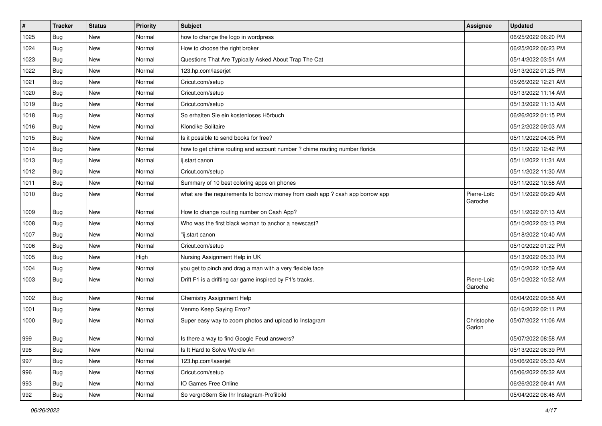| $\sharp$ | <b>Tracker</b> | <b>Status</b> | <b>Priority</b> | Subject                                                                       | Assignee               | <b>Updated</b>      |
|----------|----------------|---------------|-----------------|-------------------------------------------------------------------------------|------------------------|---------------------|
| 1025     | Bug            | New           | Normal          | how to change the logo in wordpress                                           |                        | 06/25/2022 06:20 PM |
| 1024     | Bug            | <b>New</b>    | Normal          | How to choose the right broker                                                |                        | 06/25/2022 06:23 PM |
| 1023     | <b>Bug</b>     | New           | Normal          | Questions That Are Typically Asked About Trap The Cat                         |                        | 05/14/2022 03:51 AM |
| 1022     | <b>Bug</b>     | New           | Normal          | 123.hp.com/laserjet                                                           |                        | 05/13/2022 01:25 PM |
| 1021     | <b>Bug</b>     | <b>New</b>    | Normal          | Cricut.com/setup                                                              |                        | 05/26/2022 12:21 AM |
| 1020     | Bug            | New           | Normal          | Cricut.com/setup                                                              |                        | 05/13/2022 11:14 AM |
| 1019     | Bug            | New           | Normal          | Cricut.com/setup                                                              |                        | 05/13/2022 11:13 AM |
| 1018     | <b>Bug</b>     | New           | Normal          | So erhalten Sie ein kostenloses Hörbuch                                       |                        | 06/26/2022 01:15 PM |
| 1016     | <b>Bug</b>     | New           | Normal          | Klondike Solitaire                                                            |                        | 05/12/2022 09:03 AM |
| 1015     | Bug            | <b>New</b>    | Normal          | Is it possible to send books for free?                                        |                        | 05/11/2022 04:05 PM |
| 1014     | <b>Bug</b>     | New           | Normal          | how to get chime routing and account number ? chime routing number florida    |                        | 05/11/2022 12:42 PM |
| 1013     | <b>Bug</b>     | New           | Normal          | ij.start canon                                                                |                        | 05/11/2022 11:31 AM |
| 1012     | Bug            | New           | Normal          | Cricut.com/setup                                                              |                        | 05/11/2022 11:30 AM |
| 1011     | Bug            | <b>New</b>    | Normal          | Summary of 10 best coloring apps on phones                                    |                        | 05/11/2022 10:58 AM |
| 1010     | Bug            | New           | Normal          | what are the requirements to borrow money from cash app ? cash app borrow app | Pierre-Loïc<br>Garoche | 05/11/2022 09:29 AM |
| 1009     | Bug            | New           | Normal          | How to change routing number on Cash App?                                     |                        | 05/11/2022 07:13 AM |
| 1008     | Bug            | <b>New</b>    | Normal          | Who was the first black woman to anchor a newscast?                           |                        | 05/10/2022 03:13 PM |
| 1007     | Bug            | <b>New</b>    | Normal          | "ij.start canon                                                               |                        | 05/18/2022 10:40 AM |
| 1006     | Bug            | New           | Normal          | Cricut.com/setup                                                              |                        | 05/10/2022 01:22 PM |
| 1005     | <b>Bug</b>     | New           | High            | Nursing Assignment Help in UK                                                 |                        | 05/13/2022 05:33 PM |
| 1004     | <b>Bug</b>     | <b>New</b>    | Normal          | you get to pinch and drag a man with a very flexible face                     |                        | 05/10/2022 10:59 AM |
| 1003     | Bug            | <b>New</b>    | Normal          | Drift F1 is a drifting car game inspired by F1's tracks.                      | Pierre-Loïc<br>Garoche | 05/10/2022 10:52 AM |
| 1002     | <b>Bug</b>     | New           | Normal          | Chemistry Assignment Help                                                     |                        | 06/04/2022 09:58 AM |
| 1001     | Bug            | New           | Normal          | Venmo Keep Saying Error?                                                      |                        | 06/16/2022 02:11 PM |
| 1000     | <b>Bug</b>     | New           | Normal          | Super easy way to zoom photos and upload to Instagram                         | Christophe<br>Garion   | 05/07/2022 11:06 AM |
| 999      | Bug            | New           | Normal          | Is there a way to find Google Feud answers?                                   |                        | 05/07/2022 08:58 AM |
| 998      | <b>Bug</b>     | New           | Normal          | Is It Hard to Solve Wordle An                                                 |                        | 05/13/2022 06:39 PM |
| 997      | Bug            | New           | Normal          | 123.hp.com/laserjet                                                           |                        | 05/06/2022 05:33 AM |
| 996      | <b>Bug</b>     | New           | Normal          | Cricut.com/setup                                                              |                        | 05/06/2022 05:32 AM |
| 993      | Bug            | New           | Normal          | IO Games Free Online                                                          |                        | 06/26/2022 09:41 AM |
| 992      | <b>Bug</b>     | New           | Normal          | So vergrößern Sie Ihr Instagram-Profilbild                                    |                        | 05/04/2022 08:46 AM |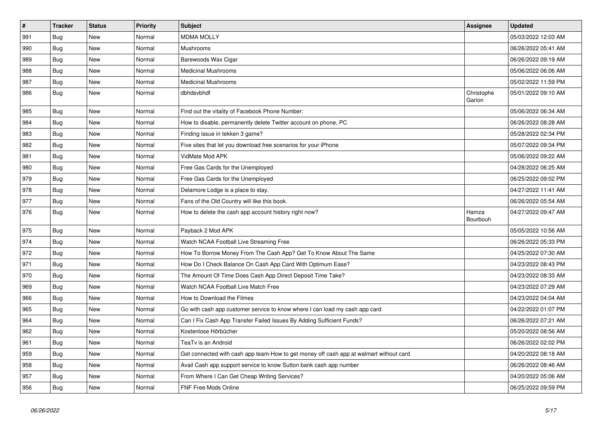| $\pmb{\#}$ | <b>Tracker</b> | <b>Status</b> | <b>Priority</b> | <b>Subject</b>                                                                         | Assignee             | <b>Updated</b>      |
|------------|----------------|---------------|-----------------|----------------------------------------------------------------------------------------|----------------------|---------------------|
| 991        | Bug            | New           | Normal          | <b>MDMA MOLLY</b>                                                                      |                      | 05/03/2022 12:03 AM |
| 990        | Bug            | New           | Normal          | Mushrooms                                                                              |                      | 06/26/2022 05:41 AM |
| 989        | Bug            | New           | Normal          | Barewoods Wax Cigar                                                                    |                      | 06/26/2022 09:19 AM |
| 988        | <b>Bug</b>     | New           | Normal          | Medicinal Mushrooms                                                                    |                      | 05/06/2022 06:06 AM |
| 987        | <b>Bug</b>     | New           | Normal          | <b>Medicinal Mushrooms</b>                                                             |                      | 05/02/2022 11:59 PM |
| 986        | Bug            | New           | Normal          | dbhdsvbhdf                                                                             | Christophe<br>Garion | 05/01/2022 09:10 AM |
| 985        | Bug            | New           | Normal          | Find out the vitality of Facebook Phone Number:                                        |                      | 05/06/2022 06:34 AM |
| 984        | Bug            | New           | Normal          | How to disable, permanently delete Twitter account on phone, PC                        |                      | 06/26/2022 08:28 AM |
| 983        | Bug            | New           | Normal          | Finding issue in tekken 3 game?                                                        |                      | 05/28/2022 02:34 PM |
| 982        | Bug            | New           | Normal          | Five sites that let you download free scenarios for your iPhone                        |                      | 05/07/2022 09:34 PM |
| 981        | <b>Bug</b>     | New           | Normal          | VidMate Mod APK                                                                        |                      | 05/06/2022 09:22 AM |
| 980        | Bug            | New           | Normal          | Free Gas Cards for the Unemployed                                                      |                      | 04/28/2022 06:25 AM |
| 979        | Bug            | New           | Normal          | Free Gas Cards for the Unemployed                                                      |                      | 06/25/2022 09:02 PM |
| 978        | Bug            | New           | Normal          | Delamore Lodge is a place to stay.                                                     |                      | 04/27/2022 11:41 AM |
| 977        | Bug            | New           | Normal          | Fans of the Old Country will like this book.                                           |                      | 06/26/2022 05:54 AM |
| 976        | Bug            | New           | Normal          | How to delete the cash app account history right now?                                  | Hamza<br>Bourbouh    | 04/27/2022 09:47 AM |
| 975        | <b>Bug</b>     | New           | Normal          | Payback 2 Mod APK                                                                      |                      | 05/05/2022 10:56 AM |
| 974        | <b>Bug</b>     | New           | Normal          | Watch NCAA Football Live Streaming Free                                                |                      | 06/26/2022 05:33 PM |
| 972        | Bug            | New           | Normal          | How To Borrow Money From The Cash App? Get To Know About The Same                      |                      | 04/25/2022 07:30 AM |
| 971        | Bug            | New           | Normal          | How Do I Check Balance On Cash App Card With Optimum Ease?                             |                      | 04/23/2022 08:43 PM |
| 970        | Bug            | New           | Normal          | The Amount Of Time Does Cash App Direct Deposit Time Take?                             |                      | 04/23/2022 08:33 AM |
| 969        | Bug            | New           | Normal          | Watch NCAA Football Live Match Free                                                    |                      | 04/23/2022 07:29 AM |
| 966        | Bug            | New           | Normal          | How to Download the Filmes                                                             |                      | 04/23/2022 04:04 AM |
| 965        | Bug            | New           | Normal          | Go with cash app customer service to know where I can load my cash app card            |                      | 04/22/2022 01:07 PM |
| 964        | Bug            | New           | Normal          | Can I Fix Cash App Transfer Failed Issues By Adding Sufficient Funds?                  |                      | 06/26/2022 07:21 AM |
| 962        | Bug            | New           | Normal          | Kostenlose Hörbücher                                                                   |                      | 05/20/2022 08:56 AM |
| 961        | Bug            | New           | Normal          | TeaTv is an Android                                                                    |                      | 06/26/2022 02:02 PM |
| 959        | Bug            | New           | Normal          | Get connected with cash app team-How to get money off cash app at walmart without card |                      | 04/20/2022 08:18 AM |
| 958        | Bug            | New           | Normal          | Avail Cash app support service to know Sutton bank cash app number                     |                      | 06/26/2022 08:46 AM |
| 957        | Bug            | New           | Normal          | From Where I Can Get Cheap Writing Services?                                           |                      | 04/20/2022 05:06 AM |
| 956        | <b>Bug</b>     | <b>New</b>    | Normal          | <b>FNF Free Mods Online</b>                                                            |                      | 06/25/2022 09:59 PM |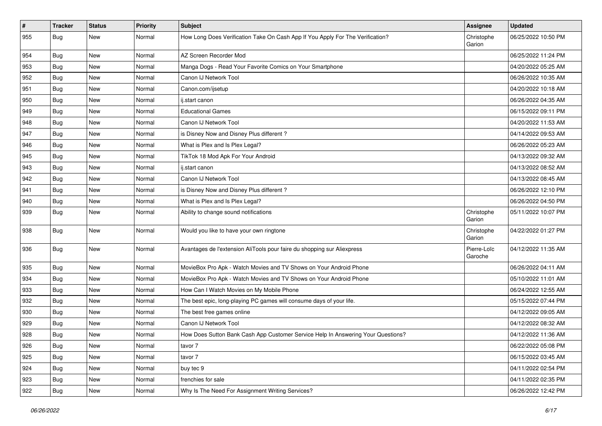| $\vert$ # | <b>Tracker</b> | <b>Status</b> | <b>Priority</b> | <b>Subject</b>                                                                   | <b>Assignee</b>        | <b>Updated</b>      |
|-----------|----------------|---------------|-----------------|----------------------------------------------------------------------------------|------------------------|---------------------|
| 955       | Bug            | New           | Normal          | How Long Does Verification Take On Cash App If You Apply For The Verification?   | Christophe<br>Garion   | 06/25/2022 10:50 PM |
| 954       | Bug            | New           | Normal          | AZ Screen Recorder Mod                                                           |                        | 06/25/2022 11:24 PM |
| 953       | Bug            | New           | Normal          | Manga Dogs - Read Your Favorite Comics on Your Smartphone                        |                        | 04/20/2022 05:25 AM |
| 952       | Bug            | New           | Normal          | Canon IJ Network Tool                                                            |                        | 06/26/2022 10:35 AM |
| 951       | Bug            | New           | Normal          | Canon.com/ijsetup                                                                |                        | 04/20/2022 10:18 AM |
| 950       | Bug            | New           | Normal          | ij.start canon                                                                   |                        | 06/26/2022 04:35 AM |
| 949       | Bug            | <b>New</b>    | Normal          | <b>Educational Games</b>                                                         |                        | 06/15/2022 09:11 PM |
| 948       | Bug            | New           | Normal          | Canon IJ Network Tool                                                            |                        | 04/20/2022 11:53 AM |
| 947       | Bug            | <b>New</b>    | Normal          | is Disney Now and Disney Plus different?                                         |                        | 04/14/2022 09:53 AM |
| 946       | Bug            | New           | Normal          | What is Plex and Is Plex Legal?                                                  |                        | 06/26/2022 05:23 AM |
| 945       | <b>Bug</b>     | <b>New</b>    | Normal          | TikTok 18 Mod Apk For Your Android                                               |                        | 04/13/2022 09:32 AM |
| 943       | Bug            | New           | Normal          | ij.start canon                                                                   |                        | 04/13/2022 08:52 AM |
| 942       | Bug            | New           | Normal          | Canon IJ Network Tool                                                            |                        | 04/13/2022 08:45 AM |
| 941       | Bug            | New           | Normal          | is Disney Now and Disney Plus different?                                         |                        | 06/26/2022 12:10 PM |
| 940       | <b>Bug</b>     | New           | Normal          | What is Plex and Is Plex Legal?                                                  |                        | 06/26/2022 04:50 PM |
| 939       | Bug            | New           | Normal          | Ability to change sound notifications                                            | Christophe<br>Garion   | 05/11/2022 10:07 PM |
| 938       | Bug            | New           | Normal          | Would you like to have your own ringtone                                         | Christophe<br>Garion   | 04/22/2022 01:27 PM |
| 936       | Bug            | New           | Normal          | Avantages de l'extension AliTools pour faire du shopping sur Aliexpress          | Pierre-Loïc<br>Garoche | 04/12/2022 11:35 AM |
| 935       | Bug            | New           | Normal          | MovieBox Pro Apk - Watch Movies and TV Shows on Your Android Phone               |                        | 06/26/2022 04:11 AM |
| 934       | Bug            | New           | Normal          | MovieBox Pro Apk - Watch Movies and TV Shows on Your Android Phone               |                        | 05/10/2022 11:01 AM |
| 933       | Bug            | New           | Normal          | How Can I Watch Movies on My Mobile Phone                                        |                        | 06/24/2022 12:55 AM |
| 932       | Bug            | New           | Normal          | The best epic, long-playing PC games will consume days of your life.             |                        | 05/15/2022 07:44 PM |
| 930       | <b>Bug</b>     | New           | Normal          | The best free games online                                                       |                        | 04/12/2022 09:05 AM |
| 929       | Bug            | New           | Normal          | Canon IJ Network Tool                                                            |                        | 04/12/2022 08:32 AM |
| 928       | Bug            | New           | Normal          | How Does Sutton Bank Cash App Customer Service Help In Answering Your Questions? |                        | 04/12/2022 11:36 AM |
| 926       | Bug            | New           | Normal          | tavor 7                                                                          |                        | 06/22/2022 05:08 PM |
| 925       | <b>Bug</b>     | New           | Normal          | tavor 7                                                                          |                        | 06/15/2022 03:45 AM |
| 924       | <b>Bug</b>     | New           | Normal          | buy tec 9                                                                        |                        | 04/11/2022 02:54 PM |
| 923       | <b>Bug</b>     | New           | Normal          | frenchies for sale                                                               |                        | 04/11/2022 02:35 PM |
| 922       | Bug            | New           | Normal          | Why Is The Need For Assignment Writing Services?                                 |                        | 06/26/2022 12:42 PM |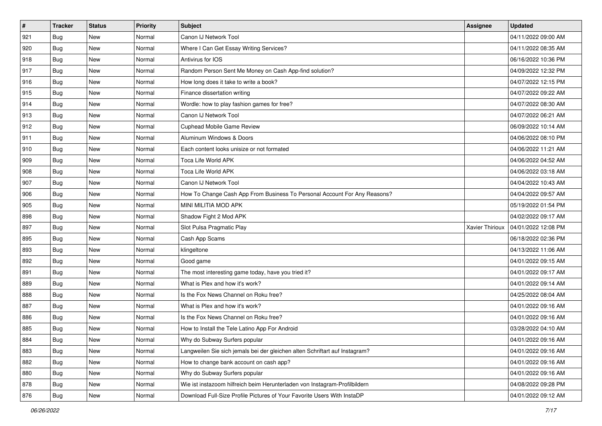| #   | <b>Tracker</b> | <b>Status</b> | <b>Priority</b> | Subject                                                                     | Assignee        | <b>Updated</b>      |
|-----|----------------|---------------|-----------------|-----------------------------------------------------------------------------|-----------------|---------------------|
| 921 | Bug            | New           | Normal          | Canon IJ Network Tool                                                       |                 | 04/11/2022 09:00 AM |
| 920 | Bug            | <b>New</b>    | Normal          | Where I Can Get Essay Writing Services?                                     |                 | 04/11/2022 08:35 AM |
| 918 | <b>Bug</b>     | New           | Normal          | Antivirus for IOS                                                           |                 | 06/16/2022 10:36 PM |
| 917 | Bug            | New           | Normal          | Random Person Sent Me Money on Cash App-find solution?                      |                 | 04/09/2022 12:32 PM |
| 916 | <b>Bug</b>     | <b>New</b>    | Normal          | How long does it take to write a book?                                      |                 | 04/07/2022 12:15 PM |
| 915 | Bug            | New           | Normal          | Finance dissertation writing                                                |                 | 04/07/2022 09:22 AM |
| 914 | Bug            | New           | Normal          | Wordle: how to play fashion games for free?                                 |                 | 04/07/2022 08:30 AM |
| 913 | Bug            | New           | Normal          | Canon IJ Network Tool                                                       |                 | 04/07/2022 06:21 AM |
| 912 | Bug            | New           | Normal          | <b>Cuphead Mobile Game Review</b>                                           |                 | 06/09/2022 10:14 AM |
| 911 | Bug            | <b>New</b>    | Normal          | Aluminum Windows & Doors                                                    |                 | 04/06/2022 08:10 PM |
| 910 | Bug            | New           | Normal          | Each content looks unisize or not formated                                  |                 | 04/06/2022 11:21 AM |
| 909 | Bug            | New           | Normal          | Toca Life World APK                                                         |                 | 04/06/2022 04:52 AM |
| 908 | <b>Bug</b>     | New           | Normal          | Toca Life World APK                                                         |                 | 04/06/2022 03:18 AM |
| 907 | Bug            | New           | Normal          | Canon IJ Network Tool                                                       |                 | 04/04/2022 10:43 AM |
| 906 | <b>Bug</b>     | New           | Normal          | How To Change Cash App From Business To Personal Account For Any Reasons?   |                 | 04/04/2022 09:57 AM |
| 905 | Bug            | New           | Normal          | MINI MILITIA MOD APK                                                        |                 | 05/19/2022 01:54 PM |
| 898 | Bug            | New           | Normal          | Shadow Fight 2 Mod APK                                                      |                 | 04/02/2022 09:17 AM |
| 897 | <b>Bug</b>     | <b>New</b>    | Normal          | Slot Pulsa Pragmatic Play                                                   | Xavier Thirioux | 04/01/2022 12:08 PM |
| 895 | Bug            | New           | Normal          | Cash App Scams                                                              |                 | 06/18/2022 02:36 PM |
| 893 | Bug            | <b>New</b>    | Normal          | klingeltone                                                                 |                 | 04/13/2022 11:06 AM |
| 892 | <b>Bug</b>     | New           | Normal          | Good game                                                                   |                 | 04/01/2022 09:15 AM |
| 891 | Bug            | <b>New</b>    | Normal          | The most interesting game today, have you tried it?                         |                 | 04/01/2022 09:17 AM |
| 889 | Bug            | <b>New</b>    | Normal          | What is Plex and how it's work?                                             |                 | 04/01/2022 09:14 AM |
| 888 | <b>Bug</b>     | New           | Normal          | Is the Fox News Channel on Roku free?                                       |                 | 04/25/2022 08:04 AM |
| 887 | Bug            | New           | Normal          | What is Plex and how it's work?                                             |                 | 04/01/2022 09:16 AM |
| 886 | Bug            | New           | Normal          | Is the Fox News Channel on Roku free?                                       |                 | 04/01/2022 09:16 AM |
| 885 | <b>Bug</b>     | <b>New</b>    | Normal          | How to Install the Tele Latino App For Android                              |                 | 03/28/2022 04:10 AM |
| 884 | <b>Bug</b>     | New           | Normal          | Why do Subway Surfers popular                                               |                 | 04/01/2022 09:16 AM |
| 883 | <b>Bug</b>     | New           | Normal          | Langweilen Sie sich jemals bei der gleichen alten Schriftart auf Instagram? |                 | 04/01/2022 09:16 AM |
| 882 | <b>Bug</b>     | New           | Normal          | How to change bank account on cash app?                                     |                 | 04/01/2022 09:16 AM |
| 880 | <b>Bug</b>     | New           | Normal          | Why do Subway Surfers popular                                               |                 | 04/01/2022 09:16 AM |
| 878 | <b>Bug</b>     | New           | Normal          | Wie ist instazoom hilfreich beim Herunterladen von Instagram-Profilbildern  |                 | 04/08/2022 09:28 PM |
| 876 | Bug            | New           | Normal          | Download Full-Size Profile Pictures of Your Favorite Users With InstaDP     |                 | 04/01/2022 09:12 AM |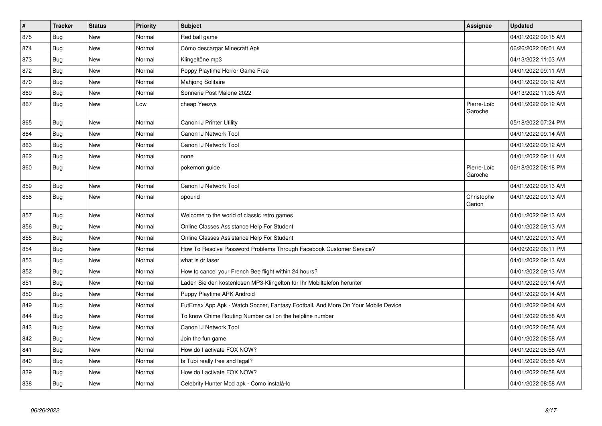| $\vert$ # | <b>Tracker</b> | <b>Status</b> | <b>Priority</b> | <b>Subject</b>                                                                   | <b>Assignee</b>        | <b>Updated</b>      |
|-----------|----------------|---------------|-----------------|----------------------------------------------------------------------------------|------------------------|---------------------|
| 875       | Bug            | New           | Normal          | Red ball game                                                                    |                        | 04/01/2022 09:15 AM |
| 874       | <b>Bug</b>     | <b>New</b>    | Normal          | Cómo descargar Minecraft Apk                                                     |                        | 06/26/2022 08:01 AM |
| 873       | Bug            | <b>New</b>    | Normal          | Klingeltöne mp3                                                                  |                        | 04/13/2022 11:03 AM |
| 872       | Bug            | New           | Normal          | Poppy Playtime Horror Game Free                                                  |                        | 04/01/2022 09:11 AM |
| 870       | <b>Bug</b>     | New           | Normal          | Mahjong Solitaire                                                                |                        | 04/01/2022 09:12 AM |
| 869       | Bug            | New           | Normal          | Sonnerie Post Malone 2022                                                        |                        | 04/13/2022 11:05 AM |
| 867       | <b>Bug</b>     | New           | Low             | cheap Yeezys                                                                     | Pierre-Loïc<br>Garoche | 04/01/2022 09:12 AM |
| 865       | Bug            | New           | Normal          | Canon IJ Printer Utility                                                         |                        | 05/18/2022 07:24 PM |
| 864       | <b>Bug</b>     | New           | Normal          | Canon IJ Network Tool                                                            |                        | 04/01/2022 09:14 AM |
| 863       | Bug            | New           | Normal          | Canon IJ Network Tool                                                            |                        | 04/01/2022 09:12 AM |
| 862       | <b>Bug</b>     | New           | Normal          | none                                                                             |                        | 04/01/2022 09:11 AM |
| 860       | <b>Bug</b>     | New           | Normal          | pokemon guide                                                                    | Pierre-Loïc<br>Garoche | 06/18/2022 08:18 PM |
| 859       | Bug            | New           | Normal          | Canon IJ Network Tool                                                            |                        | 04/01/2022 09:13 AM |
| 858       | Bug            | New           | Normal          | opourid                                                                          | Christophe<br>Garion   | 04/01/2022 09:13 AM |
| 857       | Bug            | New           | Normal          | Welcome to the world of classic retro games                                      |                        | 04/01/2022 09:13 AM |
| 856       | Bug            | <b>New</b>    | Normal          | Online Classes Assistance Help For Student                                       |                        | 04/01/2022 09:13 AM |
| 855       | <b>Bug</b>     | <b>New</b>    | Normal          | Online Classes Assistance Help For Student                                       |                        | 04/01/2022 09:13 AM |
| 854       | Bug            | New           | Normal          | How To Resolve Password Problems Through Facebook Customer Service?              |                        | 04/09/2022 06:11 PM |
| 853       | <b>Bug</b>     | New           | Normal          | what is dr laser                                                                 |                        | 04/01/2022 09:13 AM |
| 852       | <b>Bug</b>     | New           | Normal          | How to cancel your French Bee flight within 24 hours?                            |                        | 04/01/2022 09:13 AM |
| 851       | <b>Bug</b>     | New           | Normal          | Laden Sie den kostenlosen MP3-Klingelton für Ihr Mobiltelefon herunter           |                        | 04/01/2022 09:14 AM |
| 850       | Bug            | New           | Normal          | Puppy Playtime APK Android                                                       |                        | 04/01/2022 09:14 AM |
| 849       | <b>Bug</b>     | New           | Normal          | FutEmax App Apk - Watch Soccer, Fantasy Football, And More On Your Mobile Device |                        | 04/01/2022 09:04 AM |
| 844       | Bug            | New           | Normal          | To know Chime Routing Number call on the helpline number                         |                        | 04/01/2022 08:58 AM |
| 843       | Bug            | New           | Normal          | Canon IJ Network Tool                                                            |                        | 04/01/2022 08:58 AM |
| 842       | Bug            | New           | Normal          | Join the fun game                                                                |                        | 04/01/2022 08:58 AM |
| 841       | Bug            | New           | Normal          | How do I activate FOX NOW?                                                       |                        | 04/01/2022 08:58 AM |
| 840       | Bug            | New           | Normal          | Is Tubi really free and legal?                                                   |                        | 04/01/2022 08:58 AM |
| 839       | Bug            | New           | Normal          | How do I activate FOX NOW?                                                       |                        | 04/01/2022 08:58 AM |
| 838       | Bug            | New           | Normal          | Celebrity Hunter Mod apk - Como instalá-lo                                       |                        | 04/01/2022 08:58 AM |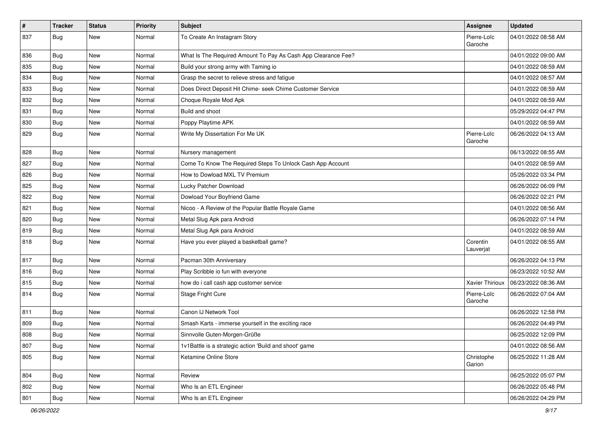| $\#$ | <b>Tracker</b> | <b>Status</b> | <b>Priority</b> | <b>Subject</b>                                                | Assignee               | <b>Updated</b>      |
|------|----------------|---------------|-----------------|---------------------------------------------------------------|------------------------|---------------------|
| 837  | Bug            | New           | Normal          | To Create An Instagram Story                                  | Pierre-Loïc<br>Garoche | 04/01/2022 08:58 AM |
| 836  | <b>Bug</b>     | New           | Normal          | What Is The Required Amount To Pay As Cash App Clearance Fee? |                        | 04/01/2022 09:00 AM |
| 835  | <b>Bug</b>     | New           | Normal          | Build your strong army with Taming io                         |                        | 04/01/2022 08:59 AM |
| 834  | Bug            | New           | Normal          | Grasp the secret to relieve stress and fatigue                |                        | 04/01/2022 08:57 AM |
| 833  | <b>Bug</b>     | New           | Normal          | Does Direct Deposit Hit Chime- seek Chime Customer Service    |                        | 04/01/2022 08:59 AM |
| 832  | <b>Bug</b>     | New           | Normal          | Choque Royale Mod Apk                                         |                        | 04/01/2022 08:59 AM |
| 831  | Bug            | New           | Normal          | Build and shoot                                               |                        | 05/29/2022 04:47 PM |
| 830  | <b>Bug</b>     | New           | Normal          | Poppy Playtime APK                                            |                        | 04/01/2022 08:59 AM |
| 829  | Bug            | New           | Normal          | Write My Dissertation For Me UK                               | Pierre-Loïc<br>Garoche | 06/26/2022 04:13 AM |
| 828  | <b>Bug</b>     | New           | Normal          | Nursery management                                            |                        | 06/13/2022 08:55 AM |
| 827  | <b>Bug</b>     | New           | Normal          | Come To Know The Required Steps To Unlock Cash App Account    |                        | 04/01/2022 08:59 AM |
| 826  | Bug            | New           | Normal          | How to Dowload MXL TV Premium                                 |                        | 05/26/2022 03:34 PM |
| 825  | Bug            | New           | Normal          | Lucky Patcher Download                                        |                        | 06/26/2022 06:09 PM |
| 822  | <b>Bug</b>     | New           | Normal          | Dowload Your Boyfriend Game                                   |                        | 06/26/2022 02:21 PM |
| 821  | <b>Bug</b>     | New           | Normal          | Nicoo - A Review of the Popular Battle Royale Game            |                        | 04/01/2022 08:56 AM |
| 820  | Bug            | New           | Normal          | Metal Slug Apk para Android                                   |                        | 06/26/2022 07:14 PM |
| 819  | <b>Bug</b>     | New           | Normal          | Metal Slug Apk para Android                                   |                        | 04/01/2022 08:59 AM |
| 818  | <b>Bug</b>     | New           | Normal          | Have you ever played a basketball game?                       | Corentin<br>Lauverjat  | 04/01/2022 08:55 AM |
| 817  | <b>Bug</b>     | New           | Normal          | Pacman 30th Anniversary                                       |                        | 06/26/2022 04:13 PM |
| 816  | Bug            | <b>New</b>    | Normal          | Play Scribble io fun with everyone                            |                        | 06/23/2022 10:52 AM |
| 815  | <b>Bug</b>     | New           | Normal          | how do i call cash app customer service                       | <b>Xavier Thirioux</b> | 06/23/2022 08:36 AM |
| 814  | <b>Bug</b>     | New           | Normal          | Stage Fright Cure                                             | Pierre-Loïc<br>Garoche | 06/26/2022 07:04 AM |
| 811  | Bug            | New           | Normal          | Canon IJ Network Tool                                         |                        | 06/26/2022 12:58 PM |
| 809  | <b>Bug</b>     | New           | Normal          | Smash Karts - immerse yourself in the exciting race           |                        | 06/26/2022 04:49 PM |
| 808  | <b>Bug</b>     | <b>New</b>    | Normal          | Sinnvolle Guten-Morgen-Grüße                                  |                        | 06/25/2022 12:09 PM |
| 807  | <b>Bug</b>     | New           | Normal          | 1v1Battle is a strategic action 'Build and shoot' game        |                        | 04/01/2022 08:56 AM |
| 805  | <b>Bug</b>     | New           | Normal          | Ketamine Online Store                                         | Christophe<br>Garion   | 06/25/2022 11:28 AM |
| 804  | Bug            | New           | Normal          | Review                                                        |                        | 06/25/2022 05:07 PM |
| 802  | Bug            | New           | Normal          | Who Is an ETL Engineer                                        |                        | 06/26/2022 05:48 PM |
| 801  | Bug            | New           | Normal          | Who Is an ETL Engineer                                        |                        | 06/26/2022 04:29 PM |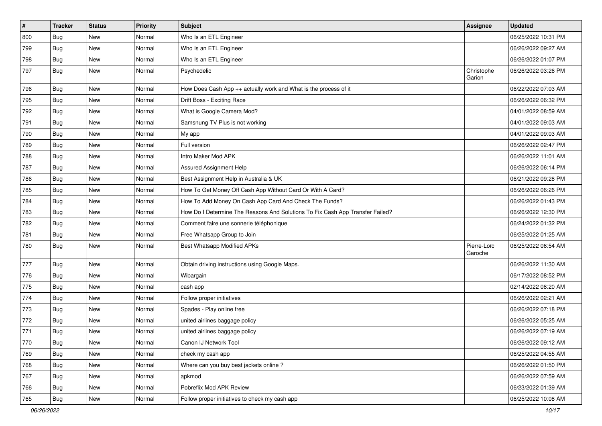| $\vert$ # | <b>Tracker</b> | <b>Status</b> | <b>Priority</b> | Subject                                                                       | <b>Assignee</b>        | <b>Updated</b>      |
|-----------|----------------|---------------|-----------------|-------------------------------------------------------------------------------|------------------------|---------------------|
| 800       | Bug            | New           | Normal          | Who Is an ETL Engineer                                                        |                        | 06/25/2022 10:31 PM |
| 799       | Bug            | <b>New</b>    | Normal          | Who Is an ETL Engineer                                                        |                        | 06/26/2022 09:27 AM |
| 798       | Bug            | New           | Normal          | Who Is an ETL Engineer                                                        |                        | 06/26/2022 01:07 PM |
| 797       | Bug            | New           | Normal          | Psychedelic                                                                   | Christophe<br>Garion   | 06/26/2022 03:26 PM |
| 796       | <b>Bug</b>     | <b>New</b>    | Normal          | How Does Cash App ++ actually work and What is the process of it              |                        | 06/22/2022 07:03 AM |
| 795       | Bug            | New           | Normal          | Drift Boss - Exciting Race                                                    |                        | 06/26/2022 06:32 PM |
| 792       | <b>Bug</b>     | New           | Normal          | What is Google Camera Mod?                                                    |                        | 04/01/2022 08:59 AM |
| 791       | <b>Bug</b>     | New           | Normal          | Samsnung TV Plus is not working                                               |                        | 04/01/2022 09:03 AM |
| 790       | <b>Bug</b>     | New           | Normal          | My app                                                                        |                        | 04/01/2022 09:03 AM |
| 789       | Bug            | New           | Normal          | Full version                                                                  |                        | 06/26/2022 02:47 PM |
| 788       | <b>Bug</b>     | New           | Normal          | Intro Maker Mod APK                                                           |                        | 06/26/2022 11:01 AM |
| 787       | <b>Bug</b>     | New           | Normal          | <b>Assured Assignment Help</b>                                                |                        | 06/26/2022 06:14 PM |
| 786       | <b>Bug</b>     | New           | Normal          | Best Assignment Help in Australia & UK                                        |                        | 06/21/2022 09:28 PM |
| 785       | <b>Bug</b>     | <b>New</b>    | Normal          | How To Get Money Off Cash App Without Card Or With A Card?                    |                        | 06/26/2022 06:26 PM |
| 784       | Bug            | New           | Normal          | How To Add Money On Cash App Card And Check The Funds?                        |                        | 06/26/2022 01:43 PM |
| 783       | <b>Bug</b>     | New           | Normal          | How Do I Determine The Reasons And Solutions To Fix Cash App Transfer Failed? |                        | 06/26/2022 12:30 PM |
| 782       | <b>Bug</b>     | New           | Normal          | Comment faire une sonnerie téléphonique                                       |                        | 06/24/2022 01:32 PM |
| 781       | Bug            | New           | Normal          | Free Whatsapp Group to Join                                                   |                        | 06/25/2022 01:25 AM |
| 780       | Bug            | New           | Normal          | Best Whatsapp Modified APKs                                                   | Pierre-Loïc<br>Garoche | 06/25/2022 06:54 AM |
| 777       | <b>Bug</b>     | New           | Normal          | Obtain driving instructions using Google Maps.                                |                        | 06/26/2022 11:30 AM |
| 776       | <b>Bug</b>     | New           | Normal          | Wibargain                                                                     |                        | 06/17/2022 08:52 PM |
| 775       | Bug            | New           | Normal          | cash app                                                                      |                        | 02/14/2022 08:20 AM |
| 774       | <b>Bug</b>     | New           | Normal          | Follow proper initiatives                                                     |                        | 06/26/2022 02:21 AM |
| 773       | <b>Bug</b>     | New           | Normal          | Spades - Play online free                                                     |                        | 06/26/2022 07:18 PM |
| 772       | Bug            | New           | Normal          | united airlines baggage policy                                                |                        | 06/26/2022 05:25 AM |
| 771       | <b>Bug</b>     | New           | Normal          | united airlines baggage policy                                                |                        | 06/26/2022 07:19 AM |
| 770       | Bug            | New           | Normal          | Canon IJ Network Tool                                                         |                        | 06/26/2022 09:12 AM |
| 769       | Bug            | New           | Normal          | check my cash app                                                             |                        | 06/25/2022 04:55 AM |
| 768       | Bug            | New           | Normal          | Where can you buy best jackets online?                                        |                        | 06/26/2022 01:50 PM |
| 767       | Bug            | New           | Normal          | apkmod                                                                        |                        | 06/26/2022 07:59 AM |
| 766       | Bug            | New           | Normal          | Pobreflix Mod APK Review                                                      |                        | 06/23/2022 01:39 AM |
| 765       | <b>Bug</b>     | New           | Normal          | Follow proper initiatives to check my cash app                                |                        | 06/25/2022 10:08 AM |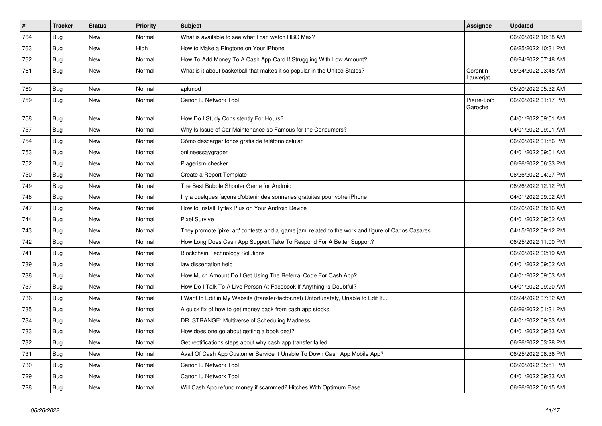| $\pmb{\#}$ | <b>Tracker</b> | <b>Status</b> | Priority | <b>Subject</b>                                                                                      | <b>Assignee</b>        | <b>Updated</b>      |
|------------|----------------|---------------|----------|-----------------------------------------------------------------------------------------------------|------------------------|---------------------|
| 764        | Bug            | New           | Normal   | What is available to see what I can watch HBO Max?                                                  |                        | 06/26/2022 10:38 AM |
| 763        | Bug            | New           | High     | How to Make a Ringtone on Your iPhone                                                               |                        | 06/25/2022 10:31 PM |
| 762        | Bug            | New           | Normal   | How To Add Money To A Cash App Card If Struggling With Low Amount?                                  |                        | 06/24/2022 07:48 AM |
| 761        | Bug            | New           | Normal   | What is it about basketball that makes it so popular in the United States?                          | Corentin<br>Lauverjat  | 06/24/2022 03:48 AM |
| 760        | Bug            | <b>New</b>    | Normal   | apkmod                                                                                              |                        | 05/20/2022 05:32 AM |
| 759        | Bug            | New           | Normal   | Canon IJ Network Tool                                                                               | Pierre-Loïc<br>Garoche | 06/26/2022 01:17 PM |
| 758        | Bug            | <b>New</b>    | Normal   | How Do I Study Consistently For Hours?                                                              |                        | 04/01/2022 09:01 AM |
| 757        | Bug            | New           | Normal   | Why Is Issue of Car Maintenance so Famous for the Consumers?                                        |                        | 04/01/2022 09:01 AM |
| 754        | Bug            | New           | Normal   | Cómo descargar tonos gratis de teléfono celular                                                     |                        | 06/26/2022 01:56 PM |
| 753        | Bug            | <b>New</b>    | Normal   | onlineessaygrader                                                                                   |                        | 04/01/2022 09:01 AM |
| 752        | Bug            | <b>New</b>    | Normal   | Plagerism checker                                                                                   |                        | 06/26/2022 06:33 PM |
| 750        | Bug            | New           | Normal   | Create a Report Template                                                                            |                        | 06/26/2022 04:27 PM |
| 749        | Bug            | <b>New</b>    | Normal   | The Best Bubble Shooter Game for Android                                                            |                        | 06/26/2022 12:12 PM |
| 748        | Bug            | <b>New</b>    | Normal   | Il y a quelques façons d'obtenir des sonneries gratuites pour votre iPhone                          |                        | 04/01/2022 09:02 AM |
| 747        | Bug            | New           | Normal   | How to Install Tyflex Plus on Your Android Device                                                   |                        | 06/26/2022 08:16 AM |
| 744        | Bug            | New           | Normal   | <b>Pixel Survive</b>                                                                                |                        | 04/01/2022 09:02 AM |
| 743        | Bug            | New           | Normal   | They promote 'pixel art' contests and a 'game jam' related to the work and figure of Carlos Casares |                        | 04/15/2022 09:12 PM |
| 742        | Bug            | <b>New</b>    | Normal   | How Long Does Cash App Support Take To Respond For A Better Support?                                |                        | 06/25/2022 11:00 PM |
| 741        | Bug            | <b>New</b>    | Normal   | <b>Blockchain Technology Solutions</b>                                                              |                        | 06/26/2022 02:19 AM |
| 739        | Bug            | New           | Normal   | law dissertation help                                                                               |                        | 04/01/2022 09:02 AM |
| 738        | Bug            | New           | Normal   | How Much Amount Do I Get Using The Referral Code For Cash App?                                      |                        | 04/01/2022 09:03 AM |
| 737        | <b>Bug</b>     | New           | Normal   | How Do I Talk To A Live Person At Facebook If Anything Is Doubtful?                                 |                        | 04/01/2022 09:20 AM |
| 736        | Bug            | New           | Normal   | I Want to Edit in My Website (transfer-factor.net) Unfortunately, Unable to Edit It                 |                        | 06/24/2022 07:32 AM |
| 735        | Bug            | New           | Normal   | A quick fix of how to get money back from cash app stocks                                           |                        | 06/26/2022 01:31 PM |
| 734        | Bug            | New           | Normal   | DR. STRANGE: Multiverse of Scheduling Madness!                                                      |                        | 04/01/2022 09:33 AM |
| 733        | Bug            | New           | Normal   | How does one go about getting a book deal?                                                          |                        | 04/01/2022 09:33 AM |
| 732        | Bug            | New           | Normal   | Get rectifications steps about why cash app transfer failed                                         |                        | 06/26/2022 03:28 PM |
| 731        | Bug            | New           | Normal   | Avail Of Cash App Customer Service If Unable To Down Cash App Mobile App?                           |                        | 06/25/2022 08:36 PM |
| 730        | <b>Bug</b>     | New           | Normal   | Canon IJ Network Tool                                                                               |                        | 06/26/2022 05:51 PM |
| 729        | <b>Bug</b>     | New           | Normal   | Canon IJ Network Tool                                                                               |                        | 04/01/2022 09:33 AM |
| 728        | Bug            | New           | Normal   | Will Cash App refund money if scammed? Hitches With Optimum Ease                                    |                        | 06/26/2022 06:15 AM |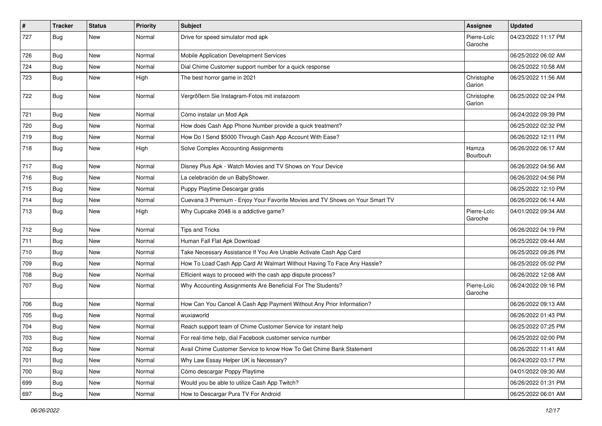| #   | <b>Tracker</b> | <b>Status</b> | <b>Priority</b> | <b>Subject</b>                                                               | <b>Assignee</b>        | <b>Updated</b>      |
|-----|----------------|---------------|-----------------|------------------------------------------------------------------------------|------------------------|---------------------|
| 727 | Bug            | New           | Normal          | Drive for speed simulator mod apk                                            | Pierre-Loïc<br>Garoche | 04/23/2022 11:17 PM |
| 726 | Bug            | <b>New</b>    | Normal          | Mobile Application Development Services                                      |                        | 06/25/2022 06:02 AM |
| 724 | Bug            | New           | Normal          | Dial Chime Customer support number for a quick response                      |                        | 06/25/2022 10:58 AM |
| 723 | Bug            | New           | High            | The best horror game in 2021                                                 | Christophe<br>Garion   | 06/25/2022 11:56 AM |
| 722 | Bug            | <b>New</b>    | Normal          | Vergrößern Sie Instagram-Fotos mit instazoom                                 | Christophe<br>Garion   | 06/25/2022 02:24 PM |
| 721 | Bug            | New           | Normal          | Cómo instalar un Mod Apk                                                     |                        | 06/24/2022 09:39 PM |
| 720 | Bug            | New           | Normal          | How does Cash App Phone Number provide a quick treatment?                    |                        | 06/25/2022 02:32 PM |
| 719 | Bug            | New           | Normal          | How Do I Send \$5000 Through Cash App Account With Ease?                     |                        | 06/26/2022 12:11 PM |
| 718 | Bug            | New           | High            | Solve Complex Accounting Assignments                                         | Hamza<br>Bourbouh      | 06/26/2022 06:17 AM |
| 717 | <b>Bug</b>     | New           | Normal          | Disney Plus Apk - Watch Movies and TV Shows on Your Device                   |                        | 06/26/2022 04:56 AM |
| 716 | Bug            | New           | Normal          | La celebración de un BabyShower.                                             |                        | 06/26/2022 04:56 PM |
| 715 | Bug            | New           | Normal          | Puppy Playtime Descargar gratis                                              |                        | 06/25/2022 12:10 PM |
| 714 | <b>Bug</b>     | New           | Normal          | Cuevana 3 Premium - Enjoy Your Favorite Movies and TV Shows on Your Smart TV |                        | 06/26/2022 06:14 AM |
| 713 | <b>Bug</b>     | New           | High            | Why Cupcake 2048 is a addictive game?                                        | Pierre-Loïc<br>Garoche | 04/01/2022 09:34 AM |
| 712 | Bug            | New           | Normal          | <b>Tips and Tricks</b>                                                       |                        | 06/26/2022 04:19 PM |
| 711 | Bug            | <b>New</b>    | Normal          | Human Fall Flat Apk Download                                                 |                        | 06/25/2022 09:44 AM |
| 710 | Bug            | New           | Normal          | Take Necessary Assistance If You Are Unable Activate Cash App Card           |                        | 06/25/2022 09:26 PM |
| 709 | Bug            | New           | Normal          | How To Load Cash App Card At Walmart Without Having To Face Any Hassle?      |                        | 06/25/2022 05:02 PM |
| 708 | Bug            | New           | Normal          | Efficient ways to proceed with the cash app dispute process?                 |                        | 06/26/2022 12:08 AM |
| 707 | Bug            | New           | Normal          | Why Accounting Assignments Are Beneficial For The Students?                  | Pierre-Loïc<br>Garoche | 06/24/2022 09:16 PM |
| 706 | <b>Bug</b>     | <b>New</b>    | Normal          | How Can You Cancel A Cash App Payment Without Any Prior Information?         |                        | 06/26/2022 09:13 AM |
| 705 | <b>Bug</b>     | New           | Normal          | wuxiaworld                                                                   |                        | 06/26/2022 01:43 PM |
| 704 | Bug            | New           | Normal          | Reach support team of Chime Customer Service for instant help                |                        | 06/25/2022 07:25 PM |
| 703 | Bug            | New           | Normal          | For real-time help, dial Facebook customer service number                    |                        | 06/25/2022 02:00 PM |
| 702 | Bug            | New           | Normal          | Avail Chime Customer Service to know How To Get Chime Bank Statement         |                        | 06/26/2022 11:41 AM |
| 701 | Bug            | New           | Normal          | Why Law Essay Helper UK is Necessary?                                        |                        | 06/24/2022 03:17 PM |
| 700 | Bug            | New           | Normal          | Cómo descargar Poppy Playtime                                                |                        | 04/01/2022 09:30 AM |
| 699 | Bug            | New           | Normal          | Would you be able to utilize Cash App Twitch?                                |                        | 06/26/2022 01:31 PM |
| 697 | Bug            | New           | Normal          | How to Descargar Pura TV For Android                                         |                        | 06/25/2022 06:01 AM |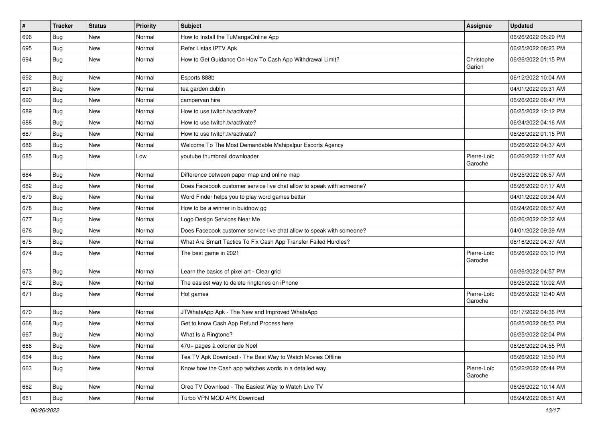| $\sharp$ | <b>Tracker</b> | <b>Status</b> | <b>Priority</b> | <b>Subject</b>                                                        | <b>Assignee</b>        | <b>Updated</b>      |
|----------|----------------|---------------|-----------------|-----------------------------------------------------------------------|------------------------|---------------------|
| 696      | Bug            | New           | Normal          | How to Install the TuMangaOnline App                                  |                        | 06/26/2022 05:29 PM |
| 695      | Bug            | <b>New</b>    | Normal          | Refer Listas IPTV Apk                                                 |                        | 06/25/2022 08:23 PM |
| 694      | Bug            | New           | Normal          | How to Get Guidance On How To Cash App Withdrawal Limit?              | Christophe<br>Garion   | 06/26/2022 01:15 PM |
| 692      | Bug            | <b>New</b>    | Normal          | Esports 888b                                                          |                        | 06/12/2022 10:04 AM |
| 691      | Bug            | New           | Normal          | tea garden dublin                                                     |                        | 04/01/2022 09:31 AM |
| 690      | <b>Bug</b>     | New           | Normal          | campervan hire                                                        |                        | 06/26/2022 06:47 PM |
| 689      | <b>Bug</b>     | New           | Normal          | How to use twitch.tv/activate?                                        |                        | 06/25/2022 12:12 PM |
| 688      | <b>Bug</b>     | <b>New</b>    | Normal          | How to use twitch.tv/activate?                                        |                        | 06/24/2022 04:16 AM |
| 687      | Bug            | New           | Normal          | How to use twitch.tv/activate?                                        |                        | 06/26/2022 01:15 PM |
| 686      | <b>Bug</b>     | New           | Normal          | Welcome To The Most Demandable Mahipalpur Escorts Agency              |                        | 06/26/2022 04:37 AM |
| 685      | Bug            | New           | Low             | youtube thumbnail downloader                                          | Pierre-Loïc<br>Garoche | 06/26/2022 11:07 AM |
| 684      | Bug            | New           | Normal          | Difference between paper map and online map                           |                        | 06/25/2022 06:57 AM |
| 682      | Bug            | New           | Normal          | Does Facebook customer service live chat allow to speak with someone? |                        | 06/26/2022 07:17 AM |
| 679      | <b>Bug</b>     | New           | Normal          | Word Finder helps you to play word games better                       |                        | 04/01/2022 09:34 AM |
| 678      | <b>Bug</b>     | <b>New</b>    | Normal          | How to be a winner in buidnow gg                                      |                        | 06/24/2022 06:57 AM |
| 677      | Bug            | <b>New</b>    | Normal          | Logo Design Services Near Me                                          |                        | 06/26/2022 02:32 AM |
| 676      | Bug            | New           | Normal          | Does Facebook customer service live chat allow to speak with someone? |                        | 04/01/2022 09:39 AM |
| 675      | <b>Bug</b>     | New           | Normal          | What Are Smart Tactics To Fix Cash App Transfer Failed Hurdles?       |                        | 06/16/2022 04:37 AM |
| 674      | <b>Bug</b>     | New           | Normal          | The best game in 2021                                                 | Pierre-Loïc<br>Garoche | 06/26/2022 03:10 PM |
| 673      | Bug            | <b>New</b>    | Normal          | Learn the basics of pixel art - Clear grid                            |                        | 06/26/2022 04:57 PM |
| 672      | <b>Bug</b>     | New           | Normal          | The easiest way to delete ringtones on iPhone                         |                        | 06/25/2022 10:02 AM |
| 671      | <b>Bug</b>     | New           | Normal          | Hot games                                                             | Pierre-Loïc<br>Garoche | 06/26/2022 12:40 AM |
| 670      | Bug            | New           | Normal          | JTWhatsApp Apk - The New and Improved WhatsApp                        |                        | 06/17/2022 04:36 PM |
| 668      | <b>Bug</b>     | New           | Normal          | Get to know Cash App Refund Process here                              |                        | 06/25/2022 08:53 PM |
| 667      | <b>Bug</b>     | New           | Normal          | What Is a Ringtone?                                                   |                        | 06/25/2022 02:04 PM |
| 666      | <b>Bug</b>     | New           | Normal          | 470+ pages à colorier de Noël                                         |                        | 06/26/2022 04:55 PM |
| 664      | <b>Bug</b>     | New           | Normal          | Tea TV Apk Download - The Best Way to Watch Movies Offline            |                        | 06/26/2022 12:59 PM |
| 663      | Bug            | New           | Normal          | Know how the Cash app twitches words in a detailed way.               | Pierre-Loïc<br>Garoche | 05/22/2022 05:44 PM |
| 662      | Bug            | New           | Normal          | Oreo TV Download - The Easiest Way to Watch Live TV                   |                        | 06/26/2022 10:14 AM |
| 661      | <b>Bug</b>     | New           | Normal          | Turbo VPN MOD APK Download                                            |                        | 06/24/2022 08:51 AM |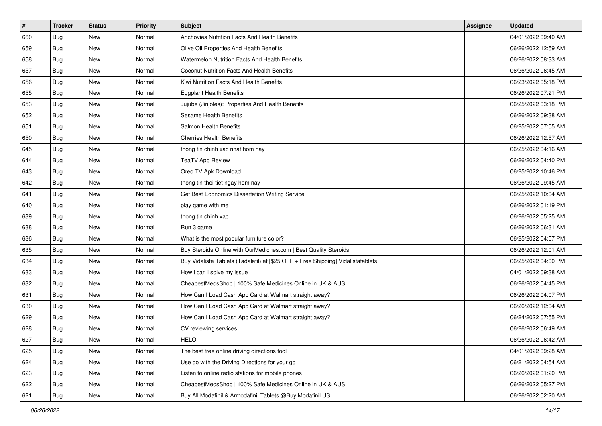| #   | <b>Tracker</b> | <b>Status</b> | <b>Priority</b> | Subject                                                                          | <b>Assignee</b> | <b>Updated</b>      |
|-----|----------------|---------------|-----------------|----------------------------------------------------------------------------------|-----------------|---------------------|
| 660 | Bug            | <b>New</b>    | Normal          | <b>Anchovies Nutrition Facts And Health Benefits</b>                             |                 | 04/01/2022 09:40 AM |
| 659 | <b>Bug</b>     | New           | Normal          | Olive Oil Properties And Health Benefits                                         |                 | 06/26/2022 12:59 AM |
| 658 | <b>Bug</b>     | <b>New</b>    | Normal          | Watermelon Nutrition Facts And Health Benefits                                   |                 | 06/26/2022 08:33 AM |
| 657 | Bug            | New           | Normal          | Coconut Nutrition Facts And Health Benefits                                      |                 | 06/26/2022 06:45 AM |
| 656 | <b>Bug</b>     | <b>New</b>    | Normal          | Kiwi Nutrition Facts And Health Benefits                                         |                 | 06/23/2022 05:18 PM |
| 655 | Bug            | New           | Normal          | <b>Eggplant Health Benefits</b>                                                  |                 | 06/26/2022 07:21 PM |
| 653 | Bug            | <b>New</b>    | Normal          | Jujube (Jinjoles): Properties And Health Benefits                                |                 | 06/25/2022 03:18 PM |
| 652 | <b>Bug</b>     | New           | Normal          | Sesame Health Benefits                                                           |                 | 06/26/2022 09:38 AM |
| 651 | <b>Bug</b>     | New           | Normal          | Salmon Health Benefits                                                           |                 | 06/25/2022 07:05 AM |
| 650 | Bug            | <b>New</b>    | Normal          | <b>Cherries Health Benefits</b>                                                  |                 | 06/26/2022 12:57 AM |
| 645 | Bug            | New           | Normal          | thong tin chinh xac nhat hom nay                                                 |                 | 06/25/2022 04:16 AM |
| 644 | Bug            | New           | Normal          | <b>TeaTV App Review</b>                                                          |                 | 06/26/2022 04:40 PM |
| 643 | <b>Bug</b>     | New           | Normal          | Oreo TV Apk Download                                                             |                 | 06/25/2022 10:46 PM |
| 642 | <b>Bug</b>     | New           | Normal          | thong tin thoi tiet ngay hom nay                                                 |                 | 06/26/2022 09:45 AM |
| 641 | Bug            | <b>New</b>    | Normal          | Get Best Economics Dissertation Writing Service                                  |                 | 06/25/2022 10:04 AM |
| 640 | Bug            | New           | Normal          | play game with me                                                                |                 | 06/26/2022 01:19 PM |
| 639 | Bug            | New           | Normal          | thong tin chinh xac                                                              |                 | 06/26/2022 05:25 AM |
| 638 | <b>Bug</b>     | New           | Normal          | Run 3 game                                                                       |                 | 06/26/2022 06:31 AM |
| 636 | Bug            | <b>New</b>    | Normal          | What is the most popular furniture color?                                        |                 | 06/25/2022 04:57 PM |
| 635 | Bug            | New           | Normal          | Buy Steroids Online with OurMedicnes.com   Best Quality Steroids                 |                 | 06/26/2022 12:01 AM |
| 634 | <b>Bug</b>     | New           | Normal          | Buy Vidalista Tablets (Tadalafil) at [\$25 OFF + Free Shipping] Vidalistatablets |                 | 06/25/2022 04:00 PM |
| 633 | <b>Bug</b>     | New           | Normal          | How i can i solve my issue                                                       |                 | 04/01/2022 09:38 AM |
| 632 | <b>Bug</b>     | <b>New</b>    | Normal          | CheapestMedsShop   100% Safe Medicines Online in UK & AUS.                       |                 | 06/26/2022 04:45 PM |
| 631 | Bug            | <b>New</b>    | Normal          | How Can I Load Cash App Card at Walmart straight away?                           |                 | 06/26/2022 04:07 PM |
| 630 | Bug            | <b>New</b>    | Normal          | How Can I Load Cash App Card at Walmart straight away?                           |                 | 06/26/2022 12:04 AM |
| 629 | Bug            | New           | Normal          | How Can I Load Cash App Card at Walmart straight away?                           |                 | 06/24/2022 07:55 PM |
| 628 | Bug            | <b>New</b>    | Normal          | CV reviewing services!                                                           |                 | 06/26/2022 06:49 AM |
| 627 | Bug            | New           | Normal          | <b>HELO</b>                                                                      |                 | 06/26/2022 06:42 AM |
| 625 | <b>Bug</b>     | New           | Normal          | The best free online driving directions tool                                     |                 | 04/01/2022 09:28 AM |
| 624 | <b>Bug</b>     | New           | Normal          | Use go with the Driving Directions for your go                                   |                 | 06/21/2022 04:54 AM |
| 623 | <b>Bug</b>     | New           | Normal          | Listen to online radio stations for mobile phones                                |                 | 06/26/2022 01:20 PM |
| 622 | <b>Bug</b>     | New           | Normal          | CheapestMedsShop   100% Safe Medicines Online in UK & AUS.                       |                 | 06/26/2022 05:27 PM |
| 621 | <b>Bug</b>     | New           | Normal          | Buy All Modafinil & Armodafinil Tablets @Buy Modafinil US                        |                 | 06/26/2022 02:20 AM |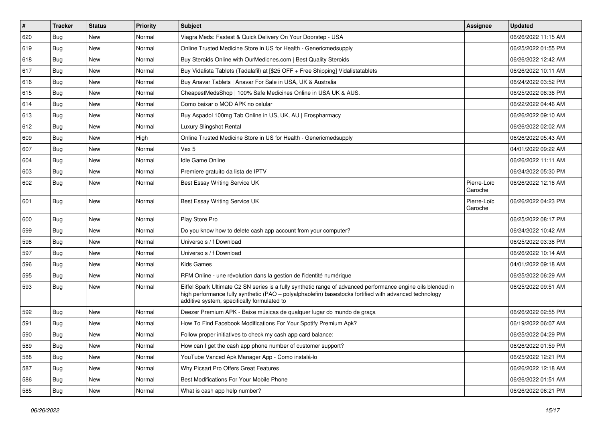| $\vert$ # | <b>Tracker</b> | <b>Status</b> | <b>Priority</b> | <b>Subject</b>                                                                                                                                                                                                                                                        | <b>Assignee</b>        | <b>Updated</b>      |
|-----------|----------------|---------------|-----------------|-----------------------------------------------------------------------------------------------------------------------------------------------------------------------------------------------------------------------------------------------------------------------|------------------------|---------------------|
| 620       | <b>Bug</b>     | New           | Normal          | Viagra Meds: Fastest & Quick Delivery On Your Doorstep - USA                                                                                                                                                                                                          |                        | 06/26/2022 11:15 AM |
| 619       | Bug            | New           | Normal          | Online Trusted Medicine Store in US for Health - Genericmedsupply                                                                                                                                                                                                     |                        | 06/25/2022 01:55 PM |
| 618       | Bug            | New           | Normal          | Buy Steroids Online with OurMedicnes.com   Best Quality Steroids                                                                                                                                                                                                      |                        | 06/26/2022 12:42 AM |
| 617       | <b>Bug</b>     | <b>New</b>    | Normal          | Buy Vidalista Tablets (Tadalafil) at [\$25 OFF + Free Shipping] Vidalistatablets                                                                                                                                                                                      |                        | 06/26/2022 10:11 AM |
| 616       | Bug            | New           | Normal          | Buy Anavar Tablets   Anavar For Sale in USA, UK & Australia                                                                                                                                                                                                           |                        | 06/24/2022 03:52 PM |
| 615       | Bug            | <b>New</b>    | Normal          | CheapestMedsShop   100% Safe Medicines Online in USA UK & AUS.                                                                                                                                                                                                        |                        | 06/25/2022 08:36 PM |
| 614       | <b>Bug</b>     | New           | Normal          | Como baixar o MOD APK no celular                                                                                                                                                                                                                                      |                        | 06/22/2022 04:46 AM |
| 613       | <b>Bug</b>     | New           | Normal          | Buy Aspadol 100mg Tab Online in US, UK, AU   Erospharmacy                                                                                                                                                                                                             |                        | 06/26/2022 09:10 AM |
| 612       | Bug            | New           | Normal          | <b>Luxury Slingshot Rental</b>                                                                                                                                                                                                                                        |                        | 06/26/2022 02:02 AM |
| 609       | Bug            | New           | High            | Online Trusted Medicine Store in US for Health - Genericmedsupply                                                                                                                                                                                                     |                        | 06/26/2022 05:43 AM |
| 607       | Bug            | New           | Normal          | Vex 5                                                                                                                                                                                                                                                                 |                        | 04/01/2022 09:22 AM |
| 604       | <b>Bug</b>     | New           | Normal          | Idle Game Online                                                                                                                                                                                                                                                      |                        | 06/26/2022 11:11 AM |
| 603       | Bug            | <b>New</b>    | Normal          | Premiere gratuito da lista de IPTV                                                                                                                                                                                                                                    |                        | 06/24/2022 05:30 PM |
| 602       | <b>Bug</b>     | New           | Normal          | Best Essay Writing Service UK                                                                                                                                                                                                                                         | Pierre-Loïc<br>Garoche | 06/26/2022 12:16 AM |
| 601       | Bug            | New           | Normal          | Best Essay Writing Service UK                                                                                                                                                                                                                                         | Pierre-Loïc<br>Garoche | 06/26/2022 04:23 PM |
| 600       | Bug            | New           | Normal          | Play Store Pro                                                                                                                                                                                                                                                        |                        | 06/25/2022 08:17 PM |
| 599       | Bug            | <b>New</b>    | Normal          | Do you know how to delete cash app account from your computer?                                                                                                                                                                                                        |                        | 06/24/2022 10:42 AM |
| 598       | <b>Bug</b>     | New           | Normal          | Universo s / f Download                                                                                                                                                                                                                                               |                        | 06/25/2022 03:38 PM |
| 597       | Bug            | New           | Normal          | Universo s / f Download                                                                                                                                                                                                                                               |                        | 06/26/2022 10:14 AM |
| 596       | Bug            | New           | Normal          | <b>Kids Games</b>                                                                                                                                                                                                                                                     |                        | 04/01/2022 09:18 AM |
| 595       | Bug            | <b>New</b>    | Normal          | RFM Online - une révolution dans la gestion de l'identité numérique                                                                                                                                                                                                   |                        | 06/25/2022 06:29 AM |
| 593       | Bug            | New           | Normal          | Eiffel Spark Ultimate C2 SN series is a fully synthetic range of advanced performance engine oils blended in<br>high performance fully synthetic (PAO - polyalphaolefin) basestocks fortified with advanced technology<br>additive system, specifically formulated to |                        | 06/25/2022 09:51 AM |
| 592       | Bug            | New           | Normal          | Deezer Premium APK - Baixe músicas de qualquer lugar do mundo de graça                                                                                                                                                                                                |                        | 06/26/2022 02:55 PM |
| 591       | <b>Bug</b>     | New           | Normal          | How To Find Facebook Modifications For Your Spotify Premium Apk?                                                                                                                                                                                                      |                        | 06/19/2022 06:07 AM |
| 590       | Bug            | New           | Normal          | Follow proper initiatives to check my cash app card balance:                                                                                                                                                                                                          |                        | 06/25/2022 04:29 PM |
| 589       | <b>Bug</b>     | New           | Normal          | How can I get the cash app phone number of customer support?                                                                                                                                                                                                          |                        | 06/26/2022 01:59 PM |
| 588       | Bug            | New           | Normal          | YouTube Vanced Apk Manager App - Como instalá-lo                                                                                                                                                                                                                      |                        | 06/25/2022 12:21 PM |
| 587       | Bug            | New           | Normal          | Why Picsart Pro Offers Great Features                                                                                                                                                                                                                                 |                        | 06/26/2022 12:18 AM |
| 586       | Bug            | New           | Normal          | Best Modifications For Your Mobile Phone                                                                                                                                                                                                                              |                        | 06/26/2022 01:51 AM |
| 585       | <b>Bug</b>     | New           | Normal          | What is cash app help number?                                                                                                                                                                                                                                         |                        | 06/26/2022 06:21 PM |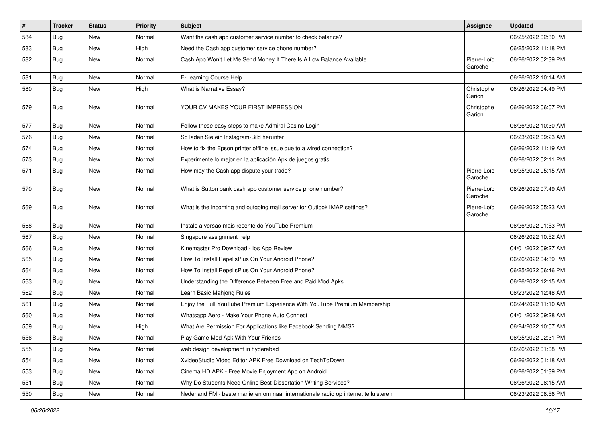| #   | <b>Tracker</b> | <b>Status</b> | <b>Priority</b> | Subject                                                                             | <b>Assignee</b>        | <b>Updated</b>      |
|-----|----------------|---------------|-----------------|-------------------------------------------------------------------------------------|------------------------|---------------------|
| 584 | Bug            | New           | Normal          | Want the cash app customer service number to check balance?                         |                        | 06/25/2022 02:30 PM |
| 583 | Bug            | New           | High            | Need the Cash app customer service phone number?                                    |                        | 06/25/2022 11:18 PM |
| 582 | <b>Bug</b>     | New           | Normal          | Cash App Won't Let Me Send Money If There Is A Low Balance Available                | Pierre-Loïc<br>Garoche | 06/26/2022 02:39 PM |
| 581 | Bug            | New           | Normal          | E-Learning Course Help                                                              |                        | 06/26/2022 10:14 AM |
| 580 | Bug            | New           | High            | What is Narrative Essay?                                                            | Christophe<br>Garion   | 06/26/2022 04:49 PM |
| 579 | Bug            | New           | Normal          | YOUR CV MAKES YOUR FIRST IMPRESSION                                                 | Christophe<br>Garion   | 06/26/2022 06:07 PM |
| 577 | Bug            | <b>New</b>    | Normal          | Follow these easy steps to make Admiral Casino Login                                |                        | 06/26/2022 10:30 AM |
| 576 | Bug            | New           | Normal          | So laden Sie ein Instagram-Bild herunter                                            |                        | 06/23/2022 09:23 AM |
| 574 | <b>Bug</b>     | New           | Normal          | How to fix the Epson printer offline issue due to a wired connection?               |                        | 06/26/2022 11:19 AM |
| 573 | Bug            | New           | Normal          | Experimente lo mejor en la aplicación Apk de juegos gratis                          |                        | 06/26/2022 02:11 PM |
| 571 | <b>Bug</b>     | New           | Normal          | How may the Cash app dispute your trade?                                            | Pierre-Loïc<br>Garoche | 06/25/2022 05:15 AM |
| 570 | Bug            | New           | Normal          | What is Sutton bank cash app customer service phone number?                         | Pierre-Loïc<br>Garoche | 06/26/2022 07:49 AM |
| 569 | Bug            | New           | Normal          | What is the incoming and outgoing mail server for Outlook IMAP settings?            | Pierre-Loïc<br>Garoche | 06/26/2022 05:23 AM |
| 568 | <b>Bug</b>     | <b>New</b>    | Normal          | Instale a versão mais recente do YouTube Premium                                    |                        | 06/26/2022 01:53 PM |
| 567 | Bug            | New           | Normal          | Singapore assignment help                                                           |                        | 06/26/2022 10:52 AM |
| 566 | Bug            | <b>New</b>    | Normal          | Kinemaster Pro Download - los App Review                                            |                        | 04/01/2022 09:27 AM |
| 565 | <b>Bug</b>     | New           | Normal          | How To Install RepelisPlus On Your Android Phone?                                   |                        | 06/26/2022 04:39 PM |
| 564 | Bug            | New           | Normal          | How To Install RepelisPlus On Your Android Phone?                                   |                        | 06/25/2022 06:46 PM |
| 563 | <b>Bug</b>     | New           | Normal          | Understanding the Difference Between Free and Paid Mod Apks                         |                        | 06/26/2022 12:15 AM |
| 562 | Bug            | New           | Normal          | Learn Basic Mahjong Rules                                                           |                        | 06/23/2022 12:48 AM |
| 561 | Bug            | New           | Normal          | Enjoy the Full YouTube Premium Experience With YouTube Premium Membership           |                        | 06/24/2022 11:10 AM |
| 560 | <b>Bug</b>     | New           | Normal          | Whatsapp Aero - Make Your Phone Auto Connect                                        |                        | 04/01/2022 09:28 AM |
| 559 | Bug            | New           | High            | What Are Permission For Applications like Facebook Sending MMS?                     |                        | 06/24/2022 10:07 AM |
| 556 | <b>Bug</b>     | New           | Normal          | Play Game Mod Apk With Your Friends                                                 |                        | 06/25/2022 02:31 PM |
| 555 | Bug            | New           | Normal          | web design development in hyderabad                                                 |                        | 06/26/2022 01:08 PM |
| 554 | Bug            | New           | Normal          | XvideoStudio Video Editor APK Free Download on TechToDown                           |                        | 06/26/2022 01:18 AM |
| 553 | Bug            | New           | Normal          | Cinema HD APK - Free Movie Enjoyment App on Android                                 |                        | 06/26/2022 01:39 PM |
| 551 | Bug            | New           | Normal          | Why Do Students Need Online Best Dissertation Writing Services?                     |                        | 06/26/2022 08:15 AM |
| 550 | Bug            | New           | Normal          | Nederland FM - beste manieren om naar internationale radio op internet te luisteren |                        | 06/23/2022 08:56 PM |